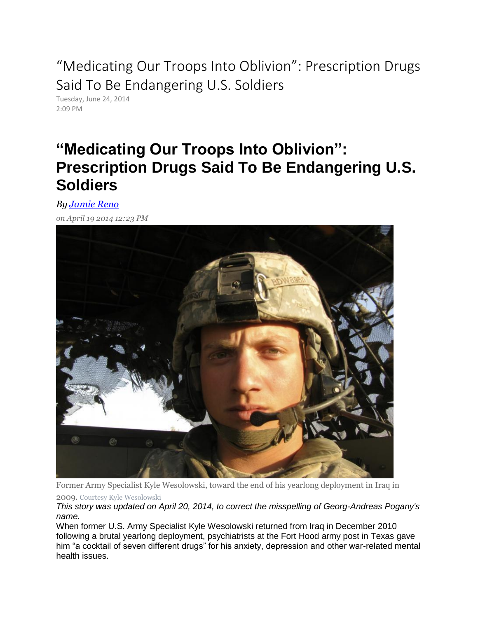"Medicating Our Troops Into Oblivion": Prescription Drugs Said To Be Endangering U.S. Soldiers

Tuesday, June 24, 2014 2:09 PM

## **"Medicating Our Troops Into Oblivion": Prescription Drugs Said To Be Endangering U.S. Soldiers**

*By [Jamie Reno](http://www.ibtimes.com/reporters/jamie-reno)*

*on April 19 2014 12:23 PM* 



Former Army Specialist Kyle Wesolowski, toward the end of his yearlong deployment in Iraq in 2009. Courtesy Kyle Wesolowski

*This story was updated on April 20, 2014, to correct the misspelling of Georg-Andreas Pogany's name.*

When former U.S. Army Specialist Kyle Wesolowski returned from Iraq in December 2010 following a brutal yearlong deployment, psychiatrists at the Fort Hood army post in Texas gave him "a cocktail of seven different drugs" for his anxiety, depression and other war-related mental health issues.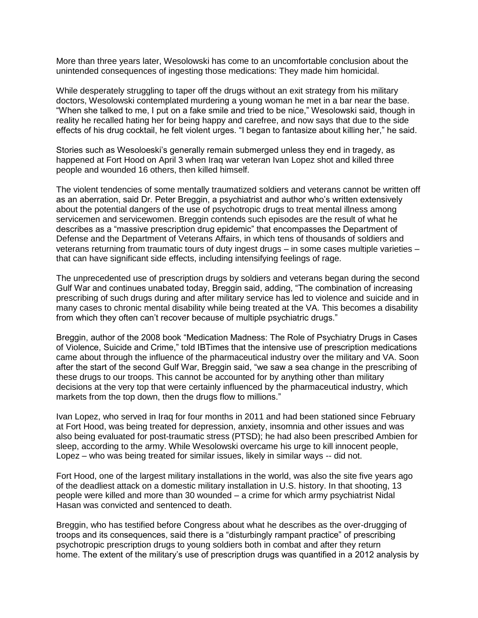More than three years later, Wesolowski has come to an uncomfortable conclusion about the unintended consequences of ingesting those medications: They made him homicidal.

While desperately struggling to taper off the drugs without an exit strategy from his military doctors, Wesolowski contemplated murdering a young woman he met in a bar near the base. "When she talked to me, I put on a fake smile and tried to be nice," Wesolowski said, though in reality he recalled hating her for being happy and carefree, and now says that due to the side effects of his drug cocktail, he felt violent urges. "I began to fantasize about killing her," he said.

Stories such as Wesoloeski's generally remain submerged unless they end in tragedy, as happened at Fort Hood on April 3 when Iraq war veteran Ivan Lopez shot and killed three people and wounded 16 others, then killed himself.

The violent tendencies of some mentally traumatized soldiers and veterans cannot be written off as an aberration, said Dr. Peter Breggin, a psychiatrist and author who's written extensively about the potential dangers of the use of psychotropic drugs to treat mental illness among servicemen and servicewomen. Breggin contends such episodes are the result of what he describes as a "massive prescription drug epidemic" that encompasses the Department of Defense and the Department of Veterans Affairs, in which tens of thousands of soldiers and veterans returning from traumatic tours of duty ingest drugs – in some cases multiple varieties – that can have significant side effects, including intensifying feelings of rage.

The unprecedented use of prescription drugs by soldiers and veterans began during the second Gulf War and continues unabated today, Breggin said, adding, "The combination of increasing prescribing of such drugs during and after military service has led to violence and suicide and in many cases to chronic mental disability while being treated at the VA. This becomes a disability from which they often can't recover because of multiple psychiatric drugs."

Breggin, author of the 2008 book "Medication Madness: The Role of Psychiatry Drugs in Cases of Violence, Suicide and Crime," told IBTimes that the intensive use of prescription medications came about through the influence of the pharmaceutical industry over the military and VA. Soon after the start of the second Gulf War, Breggin said, "we saw a sea change in the prescribing of these drugs to our troops. This cannot be accounted for by anything other than military decisions at the very top that were certainly influenced by the pharmaceutical industry, which markets from the top down, then the drugs flow to millions."

Ivan Lopez, who served in Iraq for four months in 2011 and had been stationed since February at Fort Hood, was being treated for depression, anxiety, insomnia and other issues and was also being evaluated for post-traumatic stress (PTSD); he had also been prescribed Ambien for sleep, according to the army. While Wesolowski overcame his urge to kill innocent people, Lopez – who was being treated for similar issues, likely in similar ways -- did not.

Fort Hood, one of the largest military installations in the world, was also the site five years ago of the deadliest attack on a domestic military installation in U.S. history. In that shooting, 13 people were killed and more than 30 wounded – a crime for which army psychiatrist Nidal Hasan was convicted and sentenced to death.

Breggin, who has testified before Congress about what he describes as the over-drugging of troops and its consequences, said there is a "disturbingly rampant practice" of prescribing psychotropic prescription drugs to young soldiers both in combat and after they return home. The extent of the military's use of prescription drugs was quantified in a 2012 analysis by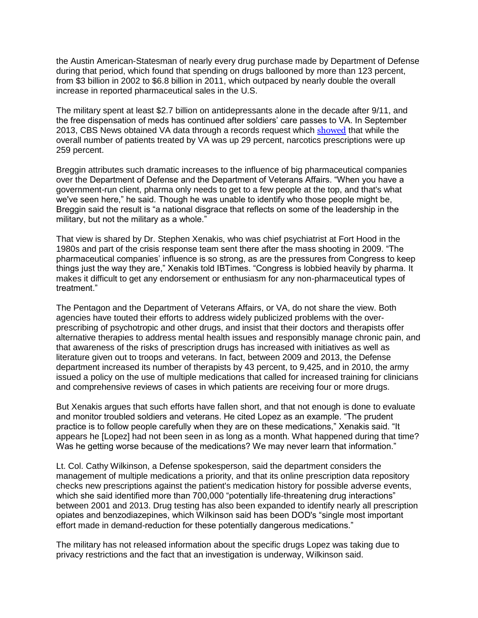the Austin American-Statesman of nearly every drug purchase made by Department of Defense during that period, which found that spending on drugs ballooned by more than 123 percent, from \$3 billion in 2002 to \$6.8 billion in 2011, which outpaced by nearly double the overall increase in reported pharmaceutical sales in the U.S.

The military spent at least \$2.7 billion on antidepressants alone in the decade after 9/11, and the free dispensation of meds has continued after soldiers' care passes to VA. In September 2013, CBS News obtained VA data through a records request which [showed](http://www.cbsnews.com/news/veterans-dying-from-overmedication/) that while the overall number of patients treated by VA was up 29 percent, narcotics prescriptions were up 259 percent.

Breggin attributes such dramatic increases to the influence of big pharmaceutical companies over the Department of Defense and the Department of Veterans Affairs. "When you have a government-run client, pharma only needs to get to a few people at the top, and that's what we've seen here," he said. Though he was unable to identify who those people might be, Breggin said the result is "a national disgrace that reflects on some of the leadership in the military, but not the military as a whole."

That view is shared by Dr. Stephen Xenakis, who was chief psychiatrist at Fort Hood in the 1980s and part of the crisis response team sent there after the mass shooting in 2009. "The pharmaceutical companies' influence is so strong, as are the pressures from Congress to keep things just the way they are," Xenakis told IBTimes. "Congress is lobbied heavily by pharma. It makes it difficult to get any endorsement or enthusiasm for any non-pharmaceutical types of treatment."

The Pentagon and the Department of Veterans Affairs, or VA, do not share the view. Both agencies have touted their efforts to address widely publicized problems with the overprescribing of psychotropic and other drugs, and insist that their doctors and therapists offer alternative therapies to address mental health issues and responsibly manage chronic pain, and that awareness of the risks of prescription drugs has increased with initiatives as well as literature given out to troops and veterans. In fact, between 2009 and 2013, the Defense department increased its number of therapists by 43 percent, to 9,425, and in 2010, the army issued a policy on the use of multiple medications that called for increased training for clinicians and comprehensive reviews of cases in which patients are receiving four or more drugs.

But Xenakis argues that such efforts have fallen short, and that not enough is done to evaluate and monitor troubled soldiers and veterans. He cited Lopez as an example. "The prudent practice is to follow people carefully when they are on these medications," Xenakis said. "It appears he [Lopez] had not been seen in as long as a month. What happened during that time? Was he getting worse because of the medications? We may never learn that information."

Lt. Col. Cathy Wilkinson, a Defense spokesperson, said the department considers the management of multiple medications a priority, and that its online prescription data repository checks new prescriptions against the patient's medication history for possible adverse events, which she said identified more than 700,000 "potentially life-threatening drug interactions" between 2001 and 2013. Drug testing has also been expanded to identify nearly all prescription opiates and benzodiazepines, which Wilkinson said has been DOD's "single most important effort made in demand-reduction for these potentially dangerous medications."

The military has not released information about the specific drugs Lopez was taking due to privacy restrictions and the fact that an investigation is underway, Wilkinson said.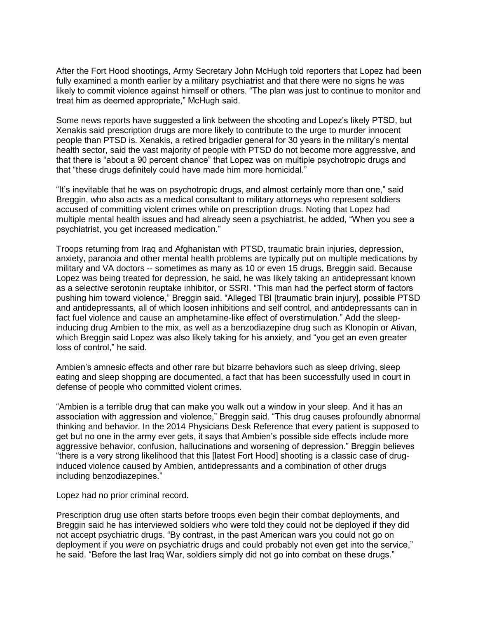After the Fort Hood shootings, Army Secretary John McHugh told reporters that Lopez had been fully examined a month earlier by a military psychiatrist and that there were no signs he was likely to commit violence against himself or others. "The plan was just to continue to monitor and treat him as deemed appropriate," McHugh said.

Some news reports have suggested a link between the shooting and Lopez's likely PTSD, but Xenakis said prescription drugs are more likely to contribute to the urge to murder innocent people than PTSD is. Xenakis, a retired brigadier general for 30 years in the military's mental health sector, said the vast majority of people with PTSD do not become more aggressive, and that there is "about a 90 percent chance" that Lopez was on multiple psychotropic drugs and that "these drugs definitely could have made him more homicidal."

"It's inevitable that he was on psychotropic drugs, and almost certainly more than one," said Breggin, who also acts as a medical consultant to military attorneys who represent soldiers accused of committing violent crimes while on prescription drugs. Noting that Lopez had multiple mental health issues and had already seen a psychiatrist, he added, "When you see a psychiatrist, you get increased medication."

Troops returning from Iraq and Afghanistan with PTSD, traumatic brain injuries, depression, anxiety, paranoia and other mental health problems are typically put on multiple medications by military and VA doctors -- sometimes as many as 10 or even 15 drugs, Breggin said. Because Lopez was being treated for depression, he said, he was likely taking an antidepressant known as a selective serotonin reuptake inhibitor, or SSRI. "This man had the perfect storm of factors pushing him toward violence," Breggin said. "Alleged TBI [traumatic brain injury], possible PTSD and antidepressants, all of which loosen inhibitions and self control, and antidepressants can in fact fuel violence and cause an amphetamine-like effect of overstimulation." Add the sleepinducing drug Ambien to the mix, as well as a benzodiazepine drug such as Klonopin or Ativan, which Breggin said Lopez was also likely taking for his anxiety, and "you get an even greater loss of control," he said.

Ambien's amnesic effects and other rare but bizarre behaviors such as sleep driving, sleep eating and sleep shopping are documented, a fact that has been successfully used in court in defense of people who committed violent crimes.

"Ambien is a terrible drug that can make you walk out a window in your sleep. And it has an association with aggression and violence," Breggin said. "This drug causes profoundly abnormal thinking and behavior. In the 2014 Physicians Desk Reference that every patient is supposed to get but no one in the army ever gets, it says that Ambien's possible side effects include more aggressive behavior, confusion, hallucinations and worsening of depression." Breggin believes "there is a very strong likelihood that this [latest Fort Hood] shooting is a classic case of druginduced violence caused by Ambien, antidepressants and a combination of other drugs including benzodiazepines."

Lopez had no prior criminal record.

Prescription drug use often starts before troops even begin their combat deployments, and Breggin said he has interviewed soldiers who were told they could not be deployed if they did not accept psychiatric drugs. "By contrast, in the past American wars you could not go on deployment if you *were* on psychiatric drugs and could probably not even get into the service," he said. "Before the last Iraq War, soldiers simply did not go into combat on these drugs."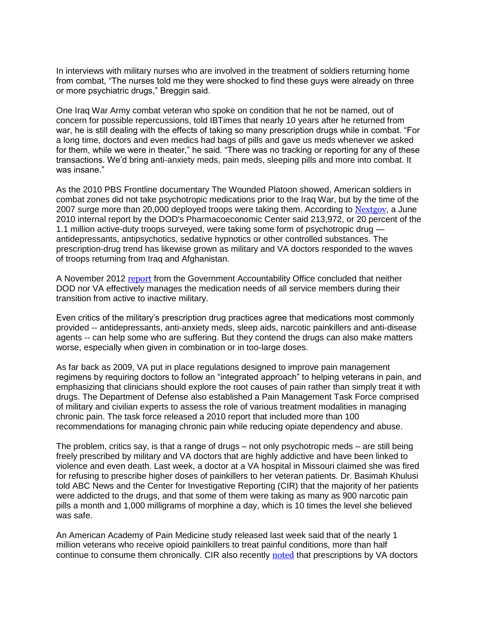In interviews with military nurses who are involved in the treatment of soldiers returning home from combat, "The nurses told me they were shocked to find these guys were already on three or more psychiatric drugs," Breggin said.

One Iraq War Army combat veteran who spoke on condition that he not be named, out of concern for possible repercussions, told IBTimes that nearly 10 years after he returned from war, he is still dealing with the effects of taking so many prescription drugs while in combat. "For a long time, doctors and even medics had bags of pills and gave us meds whenever we asked for them, while we were in theater," he said. "There was no tracking or reporting for any of these transactions. We'd bring anti-anxiety meds, pain meds, sleeping pills and more into combat. It was insane."

As the 2010 PBS Frontline documentary The Wounded Platoon showed, American soldiers in combat zones did not take psychotropic medications prior to the Iraq War, but by the time of the 2007 surge more than 20,000 deployed troops were taking them. According to [Nextgov](http://www.nextgov.com/health/2011/01/militarys-drug-policy-threatens-troops-health-doctors-say/48321/), a June 2010 internal report by the DOD's Pharmacoeconomic Center said 213,972, or 20 percent of the 1.1 million active-duty troops surveyed, were taking some form of psychotropic drug antidepressants, antipsychotics, sedative hypnotics or other controlled substances. The prescription-drug trend has likewise grown as military and VA doctors responded to the waves of troops returning from Iraq and Afghanistan.

A November 2012 [report](http://www.gao.gov/products/GAO-13-26) from the Government Accountability Office concluded that neither DOD nor VA effectively manages the medication needs of all service members during their transition from active to inactive military.

Even critics of the military's prescription drug practices agree that medications most commonly provided -- antidepressants, anti-anxiety meds, sleep aids, narcotic painkillers and anti-disease agents -- can help some who are suffering. But they contend the drugs can also make matters worse, especially when given in combination or in too-large doses.

As far back as 2009, VA put in place regulations designed to improve pain management regimens by requiring doctors to follow an "integrated approach" to helping veterans in pain, and emphasizing that clinicians should explore the root causes of pain rather than simply treat it with drugs. The Department of Defense also established a Pain Management Task Force comprised of military and civilian experts to assess the role of various treatment modalities in managing chronic pain. The task force released a 2010 report that included more than 100 recommendations for managing chronic pain while reducing opiate dependency and abuse.

The problem, critics say, is that a range of drugs – not only psychotropic meds – are still being freely prescribed by military and VA doctors that are highly addictive and have been linked to violence and even death. Last week, a doctor at a VA hospital in Missouri claimed she was fired for refusing to prescribe higher doses of painkillers to her veteran patients. Dr. Basimah Khulusi told ABC News and the Center for Investigative Reporting (CIR) that the majority of her patients were addicted to the drugs, and that some of them were taking as many as 900 narcotic pain pills a month and 1,000 milligrams of morphine a day, which is 10 times the level she believed was safe.

An American Academy of Pain Medicine study released last week said that of the nearly 1 million veterans who receive opioid painkillers to treat painful conditions, more than half continue to consume them chronically. CIR also recently [noted](http://cironline.org/reports/vas-opiate-overload-feeds-veterans-addictions-overdose-deaths-5261) that prescriptions by VA doctors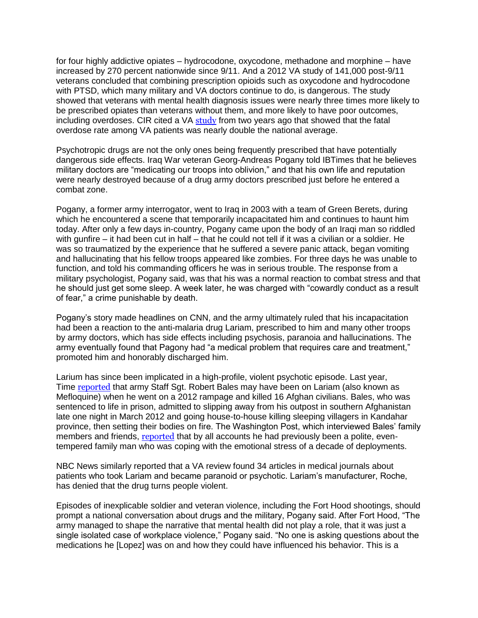for four highly addictive opiates – hydrocodone, oxycodone, methadone and morphine – have increased by 270 percent nationwide since 9/11. And a 2012 VA study of 141,000 post-9/11 veterans concluded that combining prescription opioids such as oxycodone and hydrocodone with PTSD, which many military and VA doctors continue to do, is dangerous. The study showed that veterans with mental health diagnosis issues were nearly three times more likely to be prescribed opiates than veterans without them, and more likely to have poor outcomes, including overdoses. CIR cited a VA [study](http://www.thedailybeast.com/the-hero-project/articles/2013/09/30/va-pushing-pills-and-getting-vets-hooked-on-opiates.html) from two years ago that showed that the fatal overdose rate among VA patients was nearly double the national average.

Psychotropic drugs are not the only ones being frequently prescribed that have potentially dangerous side effects. Iraq War veteran Georg-Andreas Pogany told IBTimes that he believes military doctors are "medicating our troops into oblivion," and that his own life and reputation were nearly destroyed because of a drug army doctors prescribed just before he entered a combat zone.

Pogany, a former army interrogator, went to Iraq in 2003 with a team of Green Berets, during which he encountered a scene that temporarily incapacitated him and continues to haunt him today. After only a few days in-country, Pogany came upon the body of an Iraqi man so riddled with gunfire – it had been cut in half – that he could not tell if it was a civilian or a soldier. He was so traumatized by the experience that he suffered a severe panic attack, began vomiting and hallucinating that his fellow troops appeared like zombies. For three days he was unable to function, and told his commanding officers he was in serious trouble. The response from a military psychologist, Pogany said, was that his was a normal reaction to combat stress and that he should just get some sleep. A week later, he was charged with "cowardly conduct as a result of fear," a crime punishable by death.

Pogany's story made headlines on CNN, and the army ultimately ruled that his incapacitation had been a reaction to the anti-malaria drug Lariam, prescribed to him and many other troops by army doctors, which has side effects including psychosis, paranoia and hallucinations. The army eventually found that Pagony had "a medical problem that requires care and treatment," promoted him and honorably discharged him.

Larium has since been implicated in a high-profile, violent psychotic episode. Last year, Time **[reported](http://nation.time.com/2013/06/20/a-smoking-pillbox-evidence-that-sgt-bales-may-have-been-on-lariam/)** that army Staff Sgt. Robert Bales may have been on Lariam (also known as Mefloquine) when he went on a 2012 rampage and killed 16 Afghan civilians. Bales, who was sentenced to life in prison, admitted to slipping away from his outpost in southern Afghanistan late one night in March 2012 and going house-to-house killing sleeping villagers in Kandahar province, then setting their bodies on fire. The Washington Post, which interviewed Bales' family members and friends, [reported](http://www.washingtonpost.com/world/national-security/afghan-rampage-suspect-robert-bales-was-a-soldier-strained-by-deployments/2012/03/17/gIQAwmRSJS_story.html) that by all accounts he had previously been a polite, eventempered family man who was coping with the emotional stress of a decade of deployments.

NBC News similarly reported that a VA review found 34 articles in medical journals about patients who took Lariam and became paranoid or psychotic. Lariam's manufacturer, Roche, has denied that the drug turns people violent.

Episodes of inexplicable soldier and veteran violence, including the Fort Hood shootings, should prompt a national conversation about drugs and the military, Pogany said. After Fort Hood, "The army managed to shape the narrative that mental health did not play a role, that it was just a single isolated case of workplace violence," Pogany said. "No one is asking questions about the medications he [Lopez] was on and how they could have influenced his behavior. This is a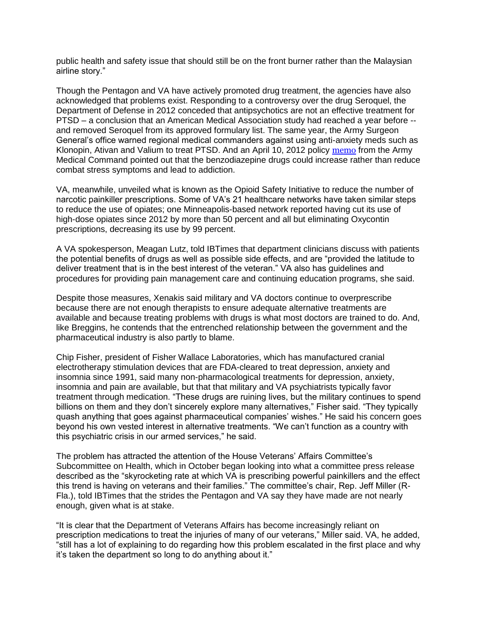public health and safety issue that should still be on the front burner rather than the Malaysian airline story."

Though the Pentagon and VA have actively promoted drug treatment, the agencies have also acknowledged that problems exist. Responding to a controversy over the drug Seroquel, the Department of Defense in 2012 conceded that antipsychotics are not an effective treatment for PTSD – a conclusion that an American Medical Association study had reached a year before - and removed Seroquel from its approved formulary list. The same year, the Army Surgeon General's office warned regional medical commanders against using anti-anxiety meds such as Klonopin, Ativan and Valium to treat PTSD. And an April 10, 2012 policy [memo](http://cdn.govexec.com/media/gbc/docs/pdfs_edit/042312bb1.pdf) from the Army Medical Command pointed out that the benzodiazepine drugs could increase rather than reduce combat stress symptoms and lead to addiction.

VA, meanwhile, unveiled what is known as the Opioid Safety Initiative to reduce the number of narcotic painkiller prescriptions. Some of VA's 21 healthcare networks have taken similar steps to reduce the use of opiates; one Minneapolis-based network reported having cut its use of high-dose opiates since 2012 by more than 50 percent and all but eliminating Oxycontin prescriptions, decreasing its use by 99 percent.

A VA spokesperson, Meagan Lutz, told IBTimes that department clinicians discuss with patients the potential benefits of drugs as well as possible side effects, and are "provided the latitude to deliver treatment that is in the best interest of the veteran." VA also has guidelines and procedures for providing pain management care and continuing education programs, she said.

Despite those measures, Xenakis said military and VA doctors continue to overprescribe because there are not enough therapists to ensure adequate alternative treatments are available and because treating problems with drugs is what most doctors are trained to do. And, like Breggins, he contends that the entrenched relationship between the government and the pharmaceutical industry is also partly to blame.

Chip Fisher, president of Fisher Wallace Laboratories, which has manufactured cranial electrotherapy stimulation devices that are FDA-cleared to treat depression, anxiety and insomnia since 1991, said many non-pharmacological treatments for depression, anxiety, insomnia and pain are available, but that that military and VA psychiatrists typically favor treatment through medication. "These drugs are ruining lives, but the military continues to spend billions on them and they don't sincerely explore many alternatives," Fisher said. "They typically quash anything that goes against pharmaceutical companies' wishes." He said his concern goes beyond his own vested interest in alternative treatments. "We can't function as a country with this psychiatric crisis in our armed services," he said.

The problem has attracted the attention of the House Veterans' Affairs Committee's Subcommittee on Health, which in October began looking into what a committee press release described as the "skyrocketing rate at which VA is prescribing powerful painkillers and the effect this trend is having on veterans and their families." The committee's chair, Rep. Jeff Miller (R-Fla.), told IBTimes that the strides the Pentagon and VA say they have made are not nearly enough, given what is at stake.

"It is clear that the Department of Veterans Affairs has become increasingly reliant on prescription medications to treat the injuries of many of our veterans," Miller said. VA, he added, "still has a lot of explaining to do regarding how this problem escalated in the first place and why it's taken the department so long to do anything about it."